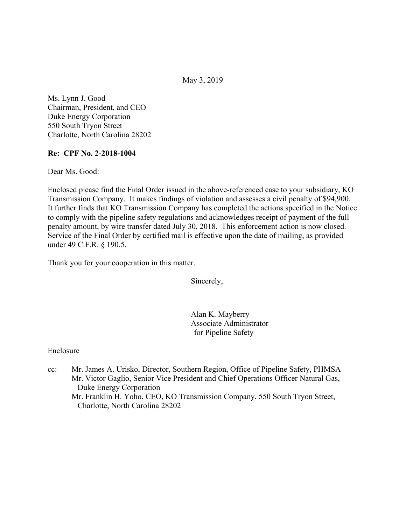May 3, 2019

Ms. Lynn J. Good Chairman, President, and CEO Duke Energy Corporation 550 South Tryon Street Charlotte, North Carolina 28202

### **Re: CPF No. 2-2018-1004**

Dear Ms. Good:

Enclosed please find the Final Order issued in the above-referenced case to your subsidiary, KO Transmission Company. It makes findings of violation and assesses a civil penalty of \$94,900. It further finds that KO Transmission Company has completed the actions specified in the Notice to comply with the pipeline safety regulations and acknowledges receipt of payment of the full penalty amount, by wire transfer dated July 30, 2018. This enforcement action is now closed. Service of the Final Order by certified mail is effective upon the date of mailing, as provided under 49 C.F.R. § 190.5.

Thank you for your cooperation in this matter.

Sincerely,

Alan K. Mayberry Associate Administrator for Pipeline Safety

#### Enclosure

cc: Mr. James A. Urisko, Director, Southern Region, Office of Pipeline Safety, PHMSA Mr. Victor Gaglio, Senior Vice President and Chief Operations Officer Natural Gas, Duke Energy Corporation Mr. Franklin H. Yoho, CEO, KO Transmission Company, 550 South Tryon Street, Charlotte, North Carolina 28202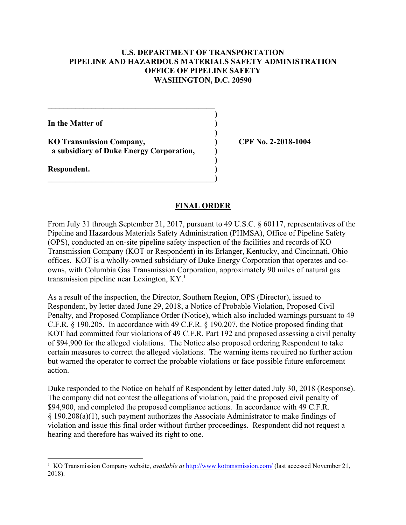#### **U.S. DEPARTMENT OF TRANSPORTATION PIPELINE AND HAZARDOUS MATERIALS SAFETY ADMINISTRATION OFFICE OF PIPELINE SAFETY WASHINGTON, D.C. 20590**

 **)**

 **)**

 **)**

**In the Matter of )**

**KO Transmission Company, ) CPF No. 2-2018-1004 a subsidiary of Duke Energy Corporation, )** 

 $\overline{\phantom{a}}$ 

**\_\_\_\_\_\_\_\_\_\_\_\_\_\_\_\_\_\_\_\_\_\_\_\_\_\_\_\_\_\_\_\_\_\_\_\_\_\_\_\_\_\_** 

**Respondent. )** 

 $\overline{a}$ 

#### **FINAL ORDER**

From July 31 through September 21, 2017, pursuant to 49 U.S.C. § 60117, representatives of the Pipeline and Hazardous Materials Safety Administration (PHMSA), Office of Pipeline Safety (OPS), conducted an on-site pipeline safety inspection of the facilities and records of KO Transmission Company (KOT or Respondent) in its Erlanger, Kentucky, and Cincinnati, Ohio offices. KOT is a wholly-owned subsidiary of Duke Energy Corporation that operates and coowns, with Columbia Gas Transmission Corporation, approximately 90 miles of natural gas transmission pipeline near Lexington,  $KY<sup>1</sup>$ 

As a result of the inspection, the Director, Southern Region, OPS (Director), issued to Respondent, by letter dated June 29, 2018, a Notice of Probable Violation, Proposed Civil Penalty, and Proposed Compliance Order (Notice), which also included warnings pursuant to 49 C.F.R. § 190.205. In accordance with 49 C.F.R. § 190.207, the Notice proposed finding that KOT had committed four violations of 49 C.F.R. Part 192 and proposed assessing a civil penalty of \$94,900 for the alleged violations. The Notice also proposed ordering Respondent to take certain measures to correct the alleged violations. The warning items required no further action but warned the operator to correct the probable violations or face possible future enforcement action.

Duke responded to the Notice on behalf of Respondent by letter dated July 30, 2018 (Response). The company did not contest the allegations of violation, paid the proposed civil penalty of \$94,900, and completed the proposed compliance actions. In accordance with 49 C.F.R. § 190.208(a)(1), such payment authorizes the Associate Administrator to make findings of violation and issue this final order without further proceedings. Respondent did not request a hearing and therefore has waived its right to one.

<sup>&</sup>lt;sup>1</sup> KO Transmission Company website, *available at* [http://www.kotransmission.com/](http://www.kotransmission.com) (last accessed November 21, 2018).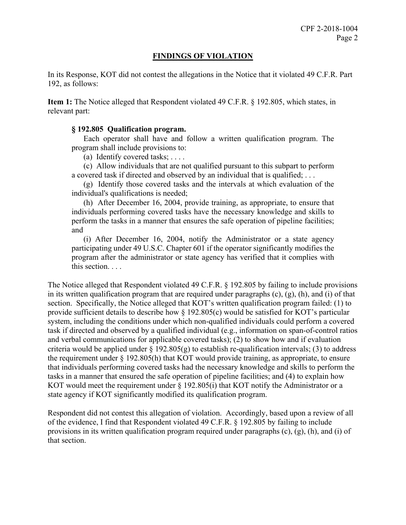### **FINDINGS OF VIOLATION**

In its Response, KOT did not contest the allegations in the Notice that it violated 49 C.F.R. Part 192, as follows:

**Item 1:** The Notice alleged that Respondent violated 49 C.F.R. § 192.805, which states, in relevant part:

#### **§ 192.805 Qualification program.**

Each operator shall have and follow a written qualification program. The program shall include provisions to:

(a) Identify covered tasks;  $\dots$ .

(c) Allow individuals that are not qualified pursuant to this subpart to perform a covered task if directed and observed by an individual that is qualified; . . .

(g) Identify those covered tasks and the intervals at which evaluation of the individual's qualifications is needed;

 (h) After December 16, 2004, provide training, as appropriate, to ensure that perform the tasks in a manner that ensures the safe operation of pipeline facilities; individuals performing covered tasks have the necessary knowledge and skills to and

 program after the administrator or state agency has verified that it complies with (i) After December 16, 2004, notify the Administrator or a state agency participating under 49 U.S.C. Chapter 601 if the operator significantly modifies the this section. . . .

The Notice alleged that Respondent violated 49 C.F.R. § 192.805 by failing to include provisions in its written qualification program that are required under paragraphs (c), (g), (h), and (i) of that section. Specifically, the Notice alleged that KOT's written qualification program failed: (1) to provide sufficient details to describe how § 192.805(c) would be satisfied for KOT's particular system, including the conditions under which non-qualified individuals could perform a covered task if directed and observed by a qualified individual (e.g., information on span-of-control ratios and verbal communications for applicable covered tasks); (2) to show how and if evaluation criteria would be applied under  $\S$  192.805(g) to establish re-qualification intervals; (3) to address the requirement under § 192.805(h) that KOT would provide training, as appropriate, to ensure that individuals performing covered tasks had the necessary knowledge and skills to perform the tasks in a manner that ensured the safe operation of pipeline facilities; and (4) to explain how KOT would meet the requirement under  $\S$  192.805(i) that KOT notify the Administrator or a state agency if KOT significantly modified its qualification program.

Respondent did not contest this allegation of violation. Accordingly, based upon a review of all of the evidence, I find that Respondent violated 49 C.F.R. § 192.805 by failing to include provisions in its written qualification program required under paragraphs  $(c)$ ,  $(g)$ ,  $(h)$ , and  $(i)$  of that section.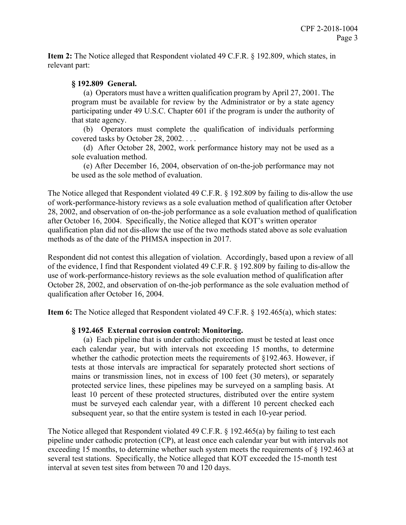**Item 2:** The Notice alleged that Respondent violated 49 C.F.R. § 192.809, which states, in relevant part:

## **§ 192.809 General.**

(a) Operators must have a written qualification program by April 27, 2001. The program must be available for review by the Administrator or by a state agency participating under 49 U.S.C. Chapter 601 if the program is under the authority of that state agency.

(b) Operators must complete the qualification of individuals performing covered tasks by October 28, 2002. . . .

(d) After October 28, 2002, work performance history may not be used as a sole evaluation method.

(e) After December 16, 2004, observation of on-the-job performance may not be used as the sole method of evaluation.

The Notice alleged that Respondent violated 49 C.F.R. § 192.809 by failing to dis-allow the use of work-performance-history reviews as a sole evaluation method of qualification after October 28, 2002, and observation of on-the-job performance as a sole evaluation method of qualification after October 16, 2004. Specifically, the Notice alleged that KOT's written operator qualification plan did not dis-allow the use of the two methods stated above as sole evaluation methods as of the date of the PHMSA inspection in 2017.

Respondent did not contest this allegation of violation. Accordingly, based upon a review of all of the evidence, I find that Respondent violated 49 C.F.R. § 192.809 by failing to dis-allow the use of work-performance-history reviews as the sole evaluation method of qualification after October 28, 2002, and observation of on-the-job performance as the sole evaluation method of qualification after October 16, 2004.

**Item 6:** The Notice alleged that Respondent violated 49 C.F.R. § 192.465(a), which states:

# **§ 192.465 External corrosion control: Monitoring.**

 least 10 percent of these protected structures, distributed over the entire system (a) Each pipeline that is under cathodic protection must be tested at least once each calendar year, but with intervals not exceeding 15 months, to determine whether the cathodic protection meets the requirements of §192.463. However, if tests at those intervals are impractical for separately protected short sections of mains or transmission lines, not in excess of 100 feet (30 meters), or separately protected service lines, these pipelines may be surveyed on a sampling basis. At must be surveyed each calendar year, with a different 10 percent checked each subsequent year, so that the entire system is tested in each 10-year period.

The Notice alleged that Respondent violated 49 C.F.R. § 192.465(a) by failing to test each pipeline under cathodic protection (CP), at least once each calendar year but with intervals not exceeding 15 months, to determine whether such system meets the requirements of § 192.463 at several test stations. Specifically, the Notice alleged that KOT exceeded the 15-month test interval at seven test sites from between 70 and 120 days.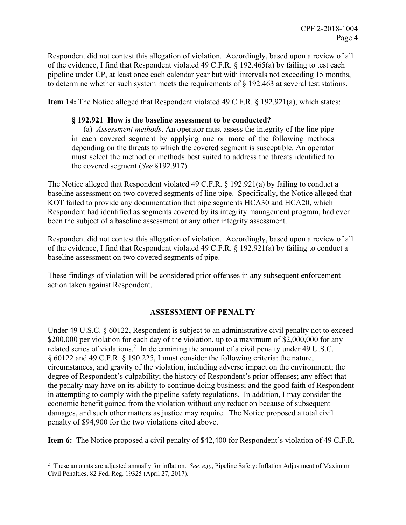Respondent did not contest this allegation of violation. Accordingly, based upon a review of all of the evidence, I find that Respondent violated 49 C.F.R. § 192.465(a) by failing to test each pipeline under CP, at least once each calendar year but with intervals not exceeding 15 months, to determine whether such system meets the requirements of § 192.463 at several test stations.

**Item 14:** The Notice alleged that Respondent violated 49 C.F.R. § 192.921(a), which states:

#### **§ 192.921 How is the baseline assessment to be conducted?**

 depending on the threats to which the covered segment is susceptible. An operator (a) *Assessment methods*. An operator must assess the integrity of the line pipe in each covered segment by applying one or more of the following methods must select the method or methods best suited to address the threats identified to the covered segment (*See* §192.917).

The Notice alleged that Respondent violated 49 C.F.R. § 192.921(a) by failing to conduct a baseline assessment on two covered segments of line pipe. Specifically, the Notice alleged that KOT failed to provide any documentation that pipe segments HCA30 and HCA20, which Respondent had identified as segments covered by its integrity management program, had ever been the subject of a baseline assessment or any other integrity assessment.

Respondent did not contest this allegation of violation. Accordingly, based upon a review of all of the evidence, I find that Respondent violated 49 C.F.R. § 192.921(a) by failing to conduct a baseline assessment on two covered segments of pipe.

These findings of violation will be considered prior offenses in any subsequent enforcement action taken against Respondent.

# **ASSESSMENT OF PENALTY**

Under 49 U.S.C. § 60122, Respondent is subject to an administrative civil penalty not to exceed \$200,000 per violation for each day of the violation, up to a maximum of \$2,000,000 for any related series of violations.<sup>2</sup> In determining the amount of a civil penalty under 49 U.S.C. § 60122 and 49 C.F.R. § 190.225, I must consider the following criteria: the nature, circumstances, and gravity of the violation, including adverse impact on the environment; the degree of Respondent's culpability; the history of Respondent's prior offenses; any effect that the penalty may have on its ability to continue doing business; and the good faith of Respondent in attempting to comply with the pipeline safety regulations. In addition, I may consider the economic benefit gained from the violation without any reduction because of subsequent damages, and such other matters as justice may require. The Notice proposed a total civil penalty of \$94,900 for the two violations cited above.

**Item 6:** The Notice proposed a civil penalty of \$42,400 for Respondent's violation of 49 C.F.R.

 $\overline{a}$ 

<sup>2</sup> These amounts are adjusted annually for inflation. *See, e.g.*, Pipeline Safety: Inflation Adjustment of Maximum Civil Penalties, 82 Fed. Reg. 19325 (April 27, 2017).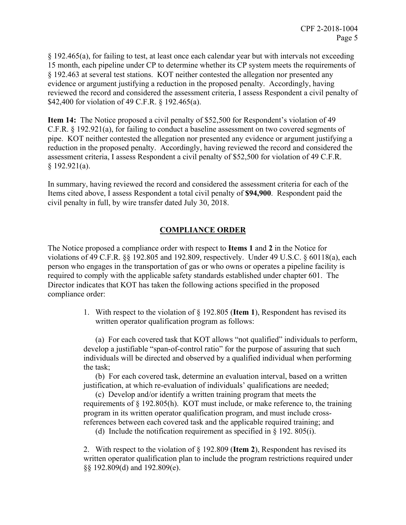§ 192.465(a), for failing to test, at least once each calendar year but with intervals not exceeding 15 month, each pipeline under CP to determine whether its CP system meets the requirements of § 192.463 at several test stations. KOT neither contested the allegation nor presented any evidence or argument justifying a reduction in the proposed penalty. Accordingly, having reviewed the record and considered the assessment criteria, I assess Respondent a civil penalty of \$42,400 for violation of 49 C.F.R. § 192.465(a).

**Item 14:** The Notice proposed a civil penalty of \$52,500 for Respondent's violation of 49 C.F.R. § 192.921(a), for failing to conduct a baseline assessment on two covered segments of pipe. KOT neither contested the allegation nor presented any evidence or argument justifying a reduction in the proposed penalty. Accordingly, having reviewed the record and considered the assessment criteria, I assess Respondent a civil penalty of \$52,500 for violation of 49 C.F.R.  $§$  192.921(a).

In summary, having reviewed the record and considered the assessment criteria for each of the Items cited above, I assess Respondent a total civil penalty of **\$94,900**. Respondent paid the civil penalty in full, by wire transfer dated July 30, 2018.

# **COMPLIANCE ORDER**

The Notice proposed a compliance order with respect to **Items 1** and **2** in the Notice for violations of 49 C.F.R. §§ 192.805 and 192.809, respectively. Under 49 U.S.C. § 60118(a), each person who engages in the transportation of gas or who owns or operates a pipeline facility is required to comply with the applicable safety standards established under chapter 601. The Director indicates that KOT has taken the following actions specified in the proposed compliance order:

> 1. With respect to the violation of § 192.805 (**Item 1**), Respondent has revised its written operator qualification program as follows:

(a) For each covered task that KOT allows "not qualified" individuals to perform, develop a justifiable "span-of-control ratio" for the purpose of assuring that such individuals will be directed and observed by a qualified individual when performing the task;

(b) For each covered task, determine an evaluation interval, based on a written justification, at which re-evaluation of individuals' qualifications are needed;

(c) Develop and/or identify a written training program that meets the requirements of § 192.805(h). KOT must include, or make reference to, the training program in its written operator qualification program, and must include crossreferences between each covered task and the applicable required training; and

(d) Include the notification requirement as specified in  $\S$  192. 805(i).

2. With respect to the violation of § 192.809 (**Item 2**), Respondent has revised its written operator qualification plan to include the program restrictions required under §§ 192.809(d) and 192.809(e).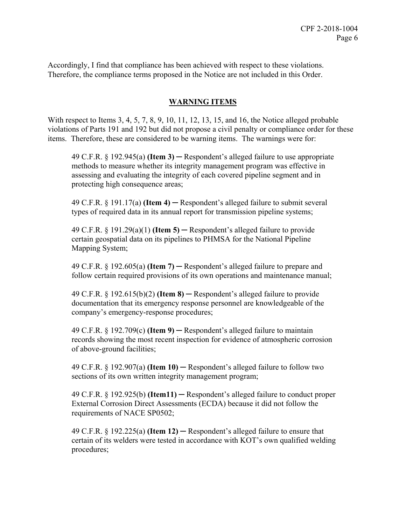Accordingly, I find that compliance has been achieved with respect to these violations. Therefore, the compliance terms proposed in the Notice are not included in this Order.

## **WARNING ITEMS**

With respect to Items 3, 4, 5, 7, 8, 9, 10, 11, 12, 13, 15, and 16, the Notice alleged probable violations of Parts 191 and 192 but did not propose a civil penalty or compliance order for these items. Therefore, these are considered to be warning items. The warnings were for:

49 C.F.R. § 192.945(a) **(Item 3)** ─ Respondent's alleged failure to use appropriate methods to measure whether its integrity management program was effective in assessing and evaluating the integrity of each covered pipeline segment and in protecting high consequence areas;

49 C.F.R. § 191.17(a) **(Item 4)** ─ Respondent's alleged failure to submit several types of required data in its annual report for transmission pipeline systems;

 Mapping System; 49 C.F.R. § 191.29(a)(1) **(Item 5)** ─ Respondent's alleged failure to provide certain geospatial data on its pipelines to PHMSA for the National Pipeline

49 C.F.R. § 192.605(a) **(Item 7)** ─ Respondent's alleged failure to prepare and follow certain required provisions of its own operations and maintenance manual;

49 C.F.R. § 192.615(b)(2) **(Item 8)** ─ Respondent's alleged failure to provide documentation that its emergency response personnel are knowledgeable of the company's emergency-response procedures;

49 C.F.R. § 192.709(c) **(Item 9)** ─ Respondent's alleged failure to maintain records showing the most recent inspection for evidence of atmospheric corrosion of above-ground facilities;

49 C.F.R. § 192.907(a) **(Item 10)** ─ Respondent's alleged failure to follow two sections of its own written integrity management program;

49 C.F.R. § 192.925(b) **(Item11)** ─ Respondent's alleged failure to conduct proper External Corrosion Direct Assessments (ECDA) because it did not follow the requirements of NACE SP0502;

49 C.F.R. § 192.225(a) **(Item 12)** ─ Respondent's alleged failure to ensure that certain of its welders were tested in accordance with KOT's own qualified welding procedures;